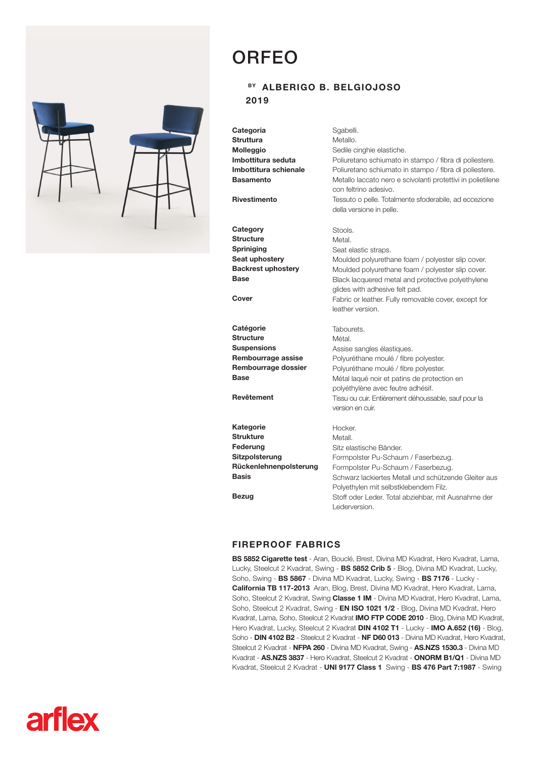## ORFEO



## BY ALBERIGO B. BELGIOJOSO 2019

**Categoria Struttura** Molleggio Imbottitura seduta Imbottitura schienale Basamento **Rivestimento Category Structure** Spriniging Seat uphostery Backrest uphostery **Base** Cover **Catégorie Structure Suspensions** Rembourrage assise Rembourrage dossier **Base** Revêtement **Kategorie Strukture** Federung Sitzpolsterung Rückenlehnenpolsterung Basis Bezug Sgabelli. Metallo. Sedile cinghie elastiche. Poliuretano schiumato in stampo / fibra di poliestere. Poliuretano schiumato in stampo / fibra di poliestere. Metallo laccato nero e scivolanti protettivi in polietilene con feltrino adesivo. Tessuto o pelle. Totalmente sfoderabile, ad eccezione della versione in pelle. Stools. Metal. Seat elastic straps. Moulded polyurethane foam / polyester slip cover. Moulded polyurethane foam / polyester slip cover. Black lacquered metal and protective polyethylene glides with adhesive felt pad. Fabric or leather. Fully removable cover, except for leather version. Tabourets. Métal. Assise sangles élastiques. Polyuréthane moulé / fibre polyester. Polyuréthane moulé / fibre polyester. Métal laqué noir et patins de protection en polyéthylène avec feutre adhésif. Tissu ou cuir. Entièrement déhoussable, sauf pour la version en cuir. Hocker. Metall. Sitz elastische Bänder. Formpolster Pu-Schaum / Faserbezug. Formpolster Pu-Schaum / Faserbezug. Schwarz lackiertes Metall und schützende Gleiter aus Polyethylen mit selbstklebendem Filz. Stoff oder Leder. Total abziehbar, mit Ausnahme der Lederversion.

## FIREPROOF FABRICS

BS 5852 Cigarette test - Aran, Bouclé, Brest, Divina MD Kvadrat, Hero Kvadrat, Lama, Lucky, Steelcut 2 Kvadrat, Swing - BS 5852 Crib 5 - Blog, Divina MD Kvadrat, Lucky, Soho, Swing - BS 5867 - Divina MD Kvadrat, Lucky, Swing - BS 7176 - Lucky - California TB 117-2013 Aran, Blog, Brest, Divina MD Kvadrat, Hero Kvadrat, Lama, Soho, Steelcut 2 Kvadrat, Swing Classe 1 IM - Divina MD Kvadrat, Hero Kvadrat, Lama, Soho, Steelcut 2 Kvadrat, Swing - EN ISO 1021 1/2 - Blog, Divina MD Kvadrat, Hero Kvadrat, Lama, Soho, Steelcut 2 Kvadrat IMO FTP CODE 2010 - Blog, Divina MD Kvadrat, Hero Kvadrat, Lucky, Steelcut 2 Kvadrat DIN 4102 T1 - Lucky - IMO A.652 (16) - Blog, Soho - DIN 4102 B2 - Steelcut 2 Kvadrat - NF D60 013 - Divina MD Kvadrat, Hero Kvadrat, Steelcut 2 Kvadrat - NFPA 260 - Divina MD Kvadrat, Swing - AS.NZS 1530.3 - Divina MD Kvadrat - AS.NZS 3837 - Hero Kvadrat, Steelcut 2 Kvadrat - ONORM B1/Q1 - Divina MD Kvadrat, Steelcut 2 Kvadrat - UNI 9177 Class 1 Swing - BS 476 Part 7:1987 - Swing